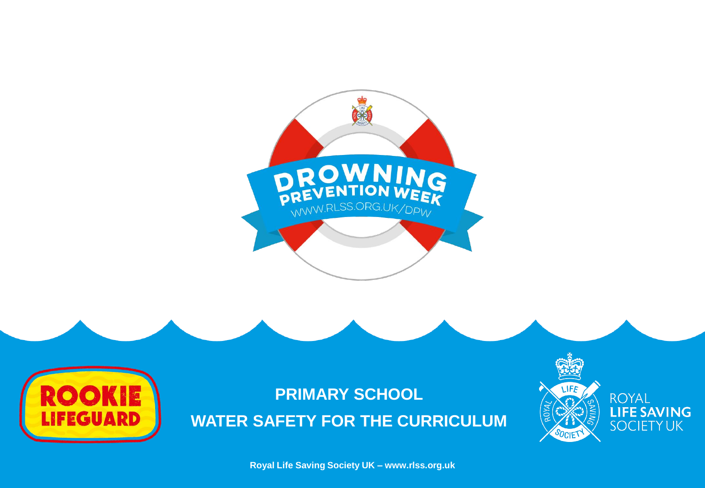



**Royal Life Saving Society UK – www.rlss.org.uk**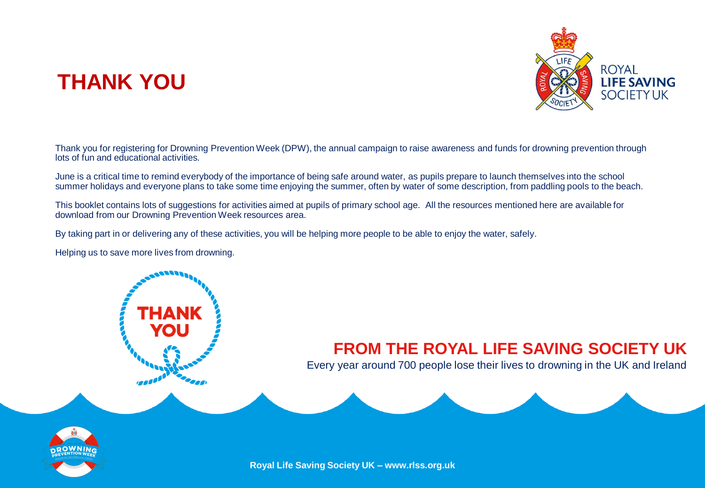# **THANK YOU**



Thank you for registering for Drowning Prevention Week (DPW), the annual campaign to raise awareness and funds for drowning prevention through lots of fun and educational activities.

June is a critical time to remind everybody of the importance of being safe around water, as pupils prepare to launch themselves into the school summer holidays and everyone plans to take some time enjoying the summer, often by water of some description, from paddling pools to the beach.

This booklet contains lots of suggestions for activities aimed at pupils of primary school age. All the resources mentioned here are available for download from our Drowning Prevention Week resources area.

By taking part in or delivering any of these activities, you will be helping more people to be able to enjoy the water, safely.

Helping us to save more lives from drowning.

### **FROM THE ROYAL LIFE SAVING SOCIETY UK**

Every year around 700 people lose their lives to drowning in the UK and Ireland



**Royal Life Saving Society UK – www.rlss.org.uk**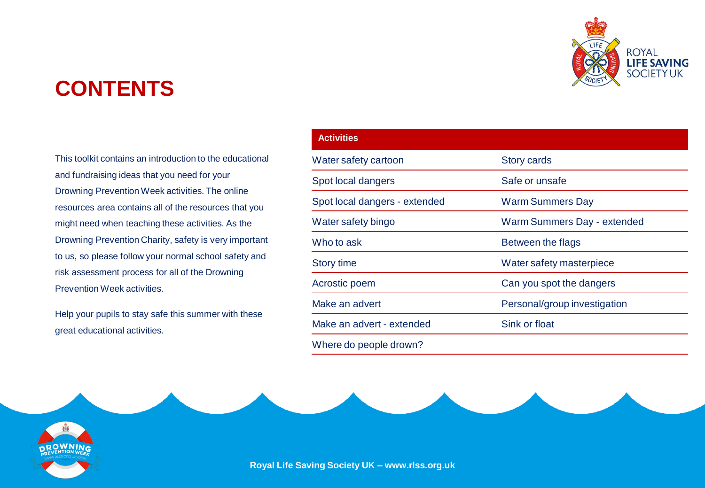# **CONTENTS**

This toolkit contains an introduction to the educational and fundraising ideas that you need for your Drowning Prevention Week activities. The online resources area contains all of the resources that you might need when teaching these activities. As the Drowning Prevention Charity, safety is very important to us, so please follow your normal school safety and risk assessment process for all of the Drowning Prevention Week activities.

Help your pupils to stay safe this summer with these great educational activities.

| <b>Activities</b>             |                              |
|-------------------------------|------------------------------|
| Water safety cartoon          | <b>Story cards</b>           |
| Spot local dangers            | Safe or unsafe               |
| Spot local dangers - extended | <b>Warm Summers Day</b>      |
| Water safety bingo            | Warm Summers Day - extended  |
| Who to ask                    | Between the flags            |
| <b>Story time</b>             | Water safety masterpiece     |
| Acrostic poem                 | Can you spot the dangers     |
| Make an advert                | Personal/group investigation |
| Make an advert - extended     | Sink or float                |
| Where do people drown?        |                              |





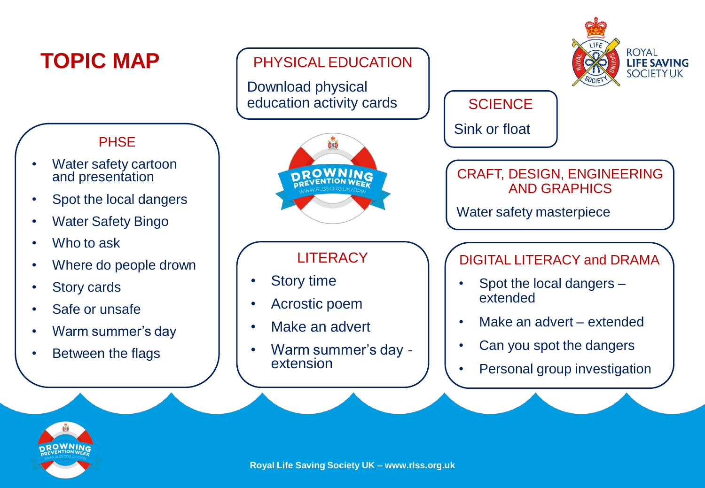

![](_page_3_Picture_1.jpeg)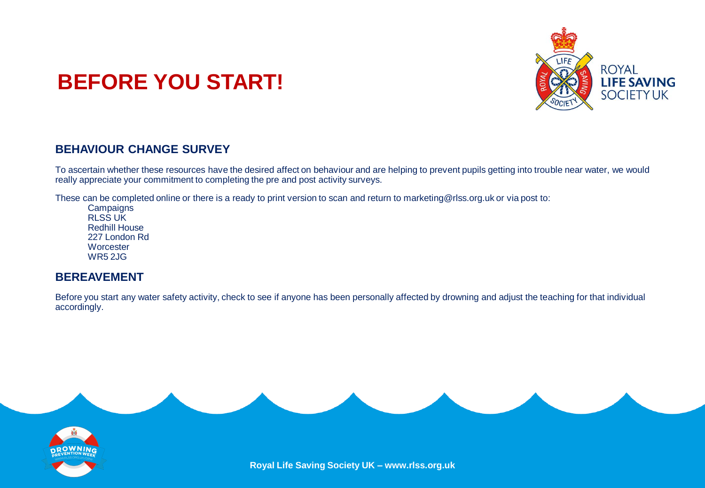![](_page_4_Picture_0.jpeg)

# **BEFORE YOU START!**

### **BEHAVIOUR CHANGE SURVEY**

To ascertain whether these resources have the desired affect on behaviour and are helping to prevent pupils getting into trouble near water, we would really appreciate your commitment to completing the pre and post activity surveys.

These can be completed online or there is a ready to print version to scan and return to marketing@rlss.org.uk or via post to:

**Campaigns** RLSS UK Redhill House 227 London Rd **Worcester** WR5 2JG

### **BEREAVEMENT**

Before you start any water safety activity, check to see if anyone has been personally affected by drowning and adjust the teaching for that individual accordingly.

![](_page_4_Picture_8.jpeg)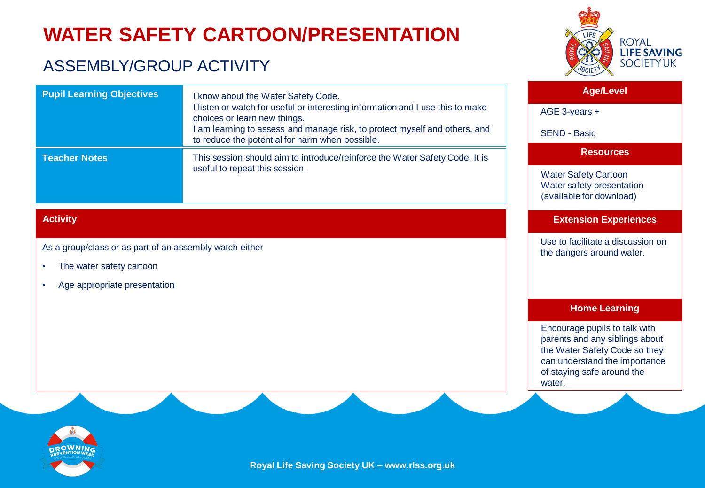# **WATER SAFETY CARTOON/PRESENTATION**

choices or learn new things.

useful to repeat this session.

I know about the Water Safety Code.

to reduce the potential for harm when possible.

I listen or watch for useful or interesting information and I use this to make

I am learning to assess and manage risk, to protect myself and others, and

This session should aim to introduce/reinforce the Water Safety Code. It is

### ASSEMBLY/GROUP ACTIVITY

As a group/class or as part of an assembly watch either

**Pupil Learning Objectives**

• The water safety cartoon

Age appropriate presentation

![](_page_5_Picture_2.jpeg)

### **Age/Level**

AGE 3-years +

SEND - Basic

#### **Resources**

Water Safety Cartoon Water safety presentation (available for download)

### **Extension Experiences**

Use to facilitate a discussion on the dangers around water.

#### **Home Learning**

Encourage pupils to talk with parents and any siblings about the Water Safety Code so they can understand the importance of staying safe around the water

![](_page_5_Picture_12.jpeg)

**Activity**

**Teacher Notes**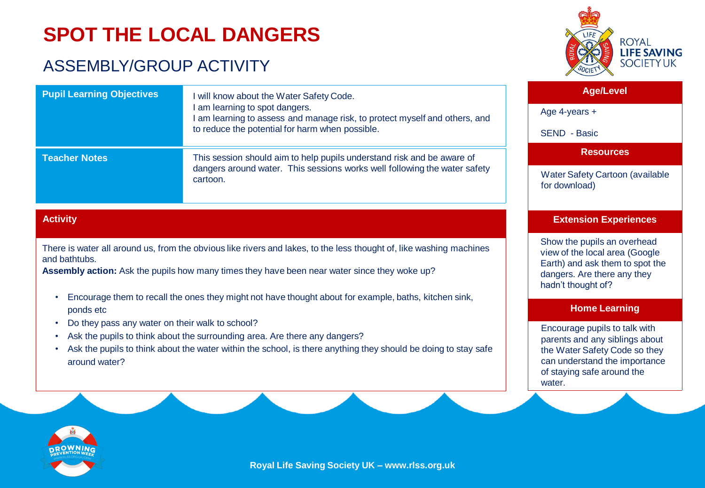# **SPOT THE LOCAL DANGERS**

### ASSEMBLY/GROUP ACTIVITY

![](_page_6_Picture_2.jpeg)

| <b>Pupil Learning Objectives</b> | I will know about the Water Safety Code.<br>I am learning to spot dangers.<br>I am learning to assess and manage risk, to protect myself and others, and<br>to reduce the potential for harm when possible. | <b>Age/Level</b>                                 |
|----------------------------------|-------------------------------------------------------------------------------------------------------------------------------------------------------------------------------------------------------------|--------------------------------------------------|
|                                  |                                                                                                                                                                                                             | Age 4-years $+$                                  |
|                                  |                                                                                                                                                                                                             | SEND - Basic                                     |
| <b>Teacher Notes</b>             | This session should aim to help pupils understand risk and be aware of<br>dangers around water. This sessions works well following the water safety<br>cartoon.                                             | <b>Resources</b>                                 |
|                                  |                                                                                                                                                                                                             | Water Safety Cartoon (available<br>for download) |

### **Activity**

There is water all around us, from the obvious like rivers and lakes, to the less thought of, like washing machines and bathtubs.

**Assembly action:** Ask the pupils how many times they have been near water since they woke up?

- Encourage them to recall the ones they might not have thought about for example, baths, kitchen sink, ponds etc
- Do they pass any water on their walk to school?
- Ask the pupils to think about the surrounding area. Are there any dangers?
- Ask the pupils to think about the water within the school, is there anything they should be doing to stay safe around water?

![](_page_6_Picture_11.jpeg)

Show the pupils an overhead view of the local area (Google Earth) and ask them to spot the dangers. Are there any they hadn't thought of?

#### **Home Learning**

Encourage pupils to talk with parents and any siblings about the Water Safety Code so they can understand the importance of staying safe around the water.

![](_page_6_Picture_15.jpeg)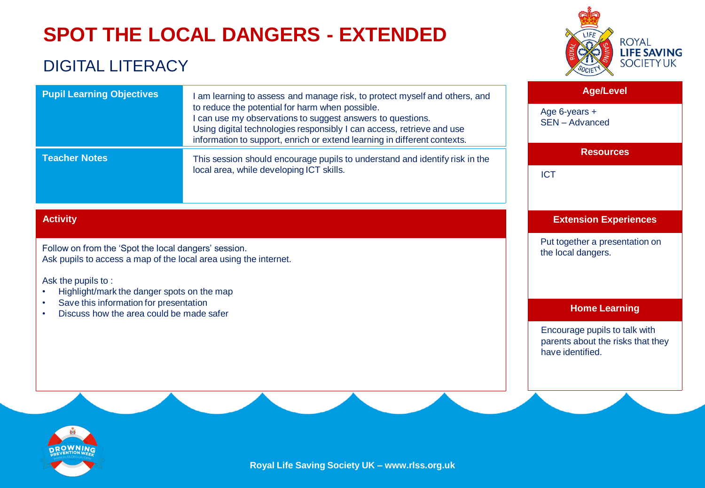# **SPOT THE LOCAL DANGERS - EXTENDED**

### DIGITAL LITERACY

![](_page_7_Picture_2.jpeg)

| <b>Pupil Learning Objectives</b>                                                                                         | I am learning to assess and manage risk, to protect myself and others, and                                                                                                                                                                                         | <b>Age/Level</b>                                                                       |
|--------------------------------------------------------------------------------------------------------------------------|--------------------------------------------------------------------------------------------------------------------------------------------------------------------------------------------------------------------------------------------------------------------|----------------------------------------------------------------------------------------|
|                                                                                                                          | to reduce the potential for harm when possible.<br>I can use my observations to suggest answers to questions.<br>Using digital technologies responsibly I can access, retrieve and use<br>information to support, enrich or extend learning in different contexts. | Age 6-years +<br>SEN - Advanced                                                        |
| <b>Teacher Notes</b>                                                                                                     | This session should encourage pupils to understand and identify risk in the                                                                                                                                                                                        | <b>Resources</b>                                                                       |
|                                                                                                                          | local area, while developing ICT skills.                                                                                                                                                                                                                           | <b>ICT</b>                                                                             |
| <b>Activity</b>                                                                                                          |                                                                                                                                                                                                                                                                    | <b>Extension Experiences</b>                                                           |
| Follow on from the 'Spot the local dangers' session.<br>Ask pupils to access a map of the local area using the internet. |                                                                                                                                                                                                                                                                    | Put together a presentation on<br>the local dangers.                                   |
| Ask the pupils to:<br>Highlight/mark the danger spots on the map<br>Save this information for presentation               |                                                                                                                                                                                                                                                                    |                                                                                        |
| Discuss how the area could be made safer                                                                                 |                                                                                                                                                                                                                                                                    | <b>Home Learning</b>                                                                   |
|                                                                                                                          |                                                                                                                                                                                                                                                                    | Encourage pupils to talk with<br>parents about the risks that they<br>have identified. |
|                                                                                                                          |                                                                                                                                                                                                                                                                    |                                                                                        |

![](_page_7_Picture_4.jpeg)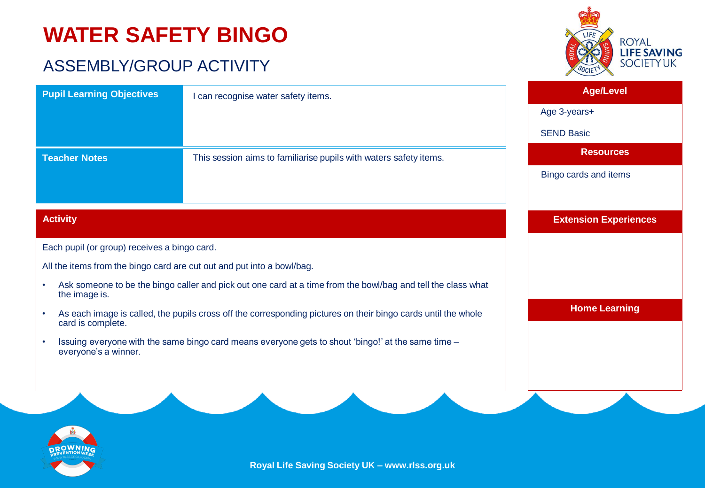# **WATER SAFETY BINGO**

### ASSEMBLY/GROUP ACTIVITY

![](_page_8_Picture_2.jpeg)

| <b>Pupil Learning Objectives</b>                                                                                                                | I can recognise water safety items.                                                                          | <b>Age/Level</b>             |
|-------------------------------------------------------------------------------------------------------------------------------------------------|--------------------------------------------------------------------------------------------------------------|------------------------------|
|                                                                                                                                                 |                                                                                                              | Age 3-years+                 |
|                                                                                                                                                 |                                                                                                              | <b>SEND Basic</b>            |
| <b>Teacher Notes</b>                                                                                                                            | This session aims to familiarise pupils with waters safety items.                                            | <b>Resources</b>             |
|                                                                                                                                                 |                                                                                                              | Bingo cards and items        |
|                                                                                                                                                 |                                                                                                              |                              |
| <b>Activity</b>                                                                                                                                 |                                                                                                              | <b>Extension Experiences</b> |
| Each pupil (or group) receives a bingo card.                                                                                                    |                                                                                                              |                              |
| All the items from the bingo card are cut out and put into a bowl/bag.                                                                          |                                                                                                              |                              |
| $\bullet$<br>the image is.                                                                                                                      | Ask someone to be the bingo caller and pick out one card at a time from the bowl/bag and tell the class what |                              |
| As each image is called, the pupils cross off the corresponding pictures on their bingo cards until the whole<br>$\bullet$<br>card is complete. |                                                                                                              | <b>Home Learning</b>         |
| $\bullet$<br>everyone's a winner.                                                                                                               | Issuing everyone with the same bingo card means everyone gets to shout 'bingo!' at the same time -           |                              |
|                                                                                                                                                 |                                                                                                              |                              |
|                                                                                                                                                 |                                                                                                              |                              |
|                                                                                                                                                 |                                                                                                              |                              |

![](_page_8_Picture_4.jpeg)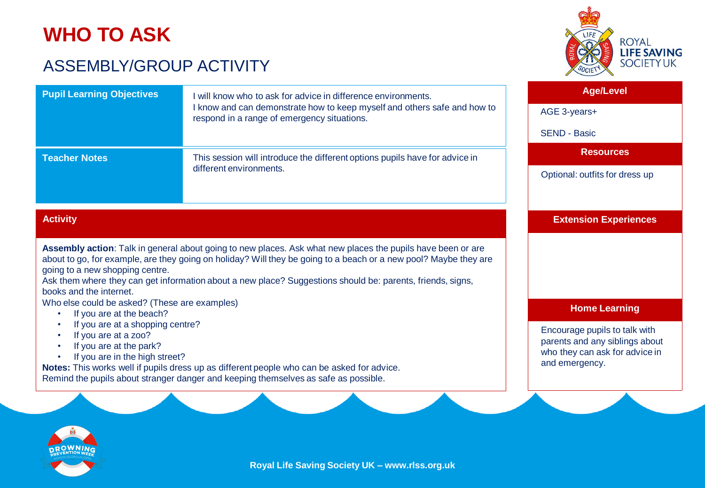## **WHO TO ASK**

### ASSEMBLY/GROUP ACTIVITY

![](_page_9_Picture_2.jpeg)

| <b>Pupil Learning Objectives</b> | will know who to ask for advice in difference environments.                                                             |                                |
|----------------------------------|-------------------------------------------------------------------------------------------------------------------------|--------------------------------|
|                                  | I know and can demonstrate how to keep myself and others safe and how to<br>respond in a range of emergency situations. | AGE 3-years+                   |
|                                  |                                                                                                                         | <b>SEND - Basic</b>            |
| <b>Teacher Notes</b>             | This session will introduce the different options pupils have for advice in                                             | <b>Resources</b>               |
|                                  | different environments.                                                                                                 | Optional: outfits for dress up |

### **Activity**

**Assembly action**: Talk in general about going to new places. Ask what new places the pupils have been or are about to go, for example, are they going on holiday? Will they be going to a beach or a new pool? Maybe they are going to a new shopping centre.

Ask them where they can get information about a new place? Suggestions should be: parents, friends, signs, books and the internet.

Who else could be asked? (These are examples)

- If you are at the beach?
- If you are at a shopping centre?
- If you are at a zoo?
- If you are at the park?
- If you are in the high street?

**Notes:** This works well if pupils dress up as different people who can be asked for advice. Remind the pupils about stranger danger and keeping themselves as safe as possible.

**Extension Experiences**

#### **Home Learning**

Encourage pupils to talk with parents and any siblings about who they can ask for advice in and emergency.

![](_page_9_Picture_17.jpeg)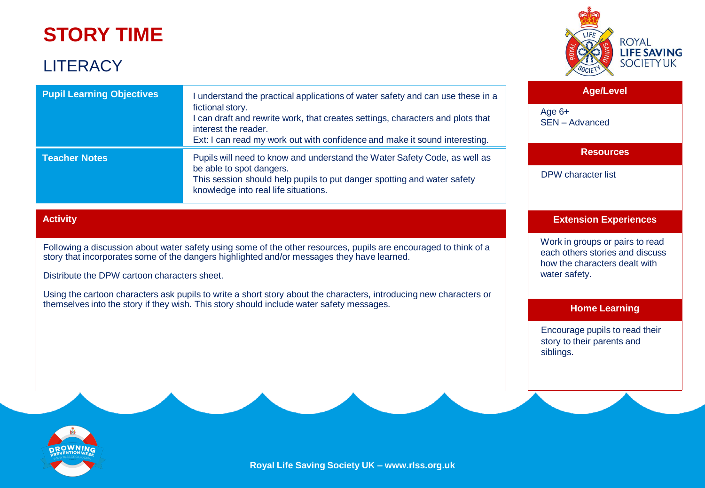## **STORY TIME**

### **LITERACY**

![](_page_10_Picture_2.jpeg)

| <b>Pupil Learning Objectives</b>                                                                                                                                                                                                                 | understand the practical applications of water safety and can use these in a<br>fictional story.<br>can draft and rewrite work, that creates settings, characters and plots that<br>interest the reader.<br>Ext: I can read my work out with confidence and make it sound interesting. |  |
|--------------------------------------------------------------------------------------------------------------------------------------------------------------------------------------------------------------------------------------------------|----------------------------------------------------------------------------------------------------------------------------------------------------------------------------------------------------------------------------------------------------------------------------------------|--|
| <b>Teacher Notes</b><br>Pupils will need to know and understand the Water Safety Code, as well as<br>be able to spot dangers.<br>This session should help pupils to put danger spotting and water safety<br>knowledge into real life situations. |                                                                                                                                                                                                                                                                                        |  |

### **Activity**

Following a discussion about water safety using some of the other resources, pupils are encouraged to think of a story that incorporates some of the dangers highlighted and/or messages they have learned.

Distribute the DPW cartoon characters sheet.

Using the cartoon characters ask pupils to write a short story about the characters, introducing new characters or themselves into the story if they wish. This story should include water safety messages.

**Age/Level**

SEN – Advanced

Age 6+

### **Resources**

DPW character list

### **Extension Experiences**

Work in groups or pairs to read each others stories and discuss how the characters dealt with water safety.

#### **Home Learning**

Encourage pupils to read their story to their parents and siblings.

![](_page_10_Picture_16.jpeg)

**Royal Life Saving Society UK – www.rlss.org.uk**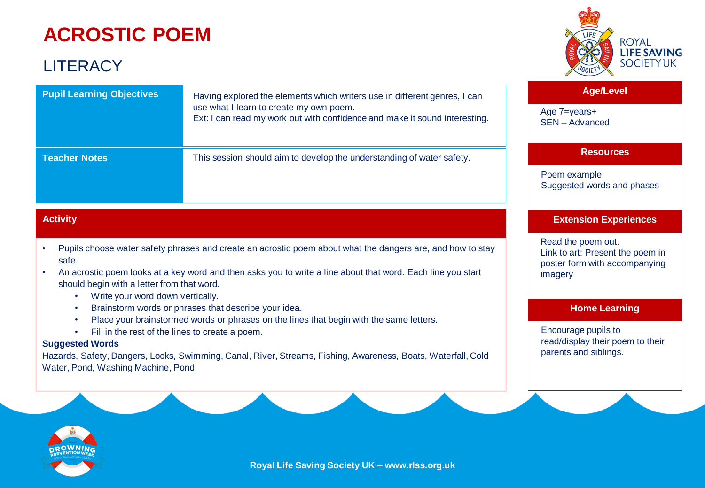# **ACROSTIC POEM**

### **LITERACY**

![](_page_11_Picture_2.jpeg)

#### **Age/Level**

Age 7=years+ SEN – Advanced

### **Resources**

Poem example Suggested words and phases

### **Extension Experiences**

Read the poem out. Link to art: Present the poem in poster form with accompanying imagery

#### **Home Learning**

Encourage pupils to read/display their poem to their parents and siblings.

| <b>Pupil Learning Objectives</b> | Having explored the elements which writers use in different genres, I can<br>use what I learn to create my own poem.<br>Ext: I can read my work out with confidence and make it sound interesting. |  |
|----------------------------------|----------------------------------------------------------------------------------------------------------------------------------------------------------------------------------------------------|--|
| <b>Teacher Notes</b>             | This session should aim to develop the understanding of water safety.                                                                                                                              |  |

### **Activity**

- Pupils choose water safety phrases and create an acrostic poem about what the dangers are, and how to stay safe.
- An acrostic poem looks at a key word and then asks you to write a line about that word. Each line you start should begin with a letter from that word.
	- Write your word down vertically.
	- Brainstorm words or phrases that describe your idea.
	- Place your brainstormed words or phrases on the lines that begin with the same letters.
	- Fill in the rest of the lines to create a poem.

### **Suggested Words**

Hazards, Safety, Dangers, Locks, Swimming, Canal, River, Streams, Fishing, Awareness, Boats, Waterfall, Cold Water, Pond, Washing Machine, Pond

![](_page_11_Picture_21.jpeg)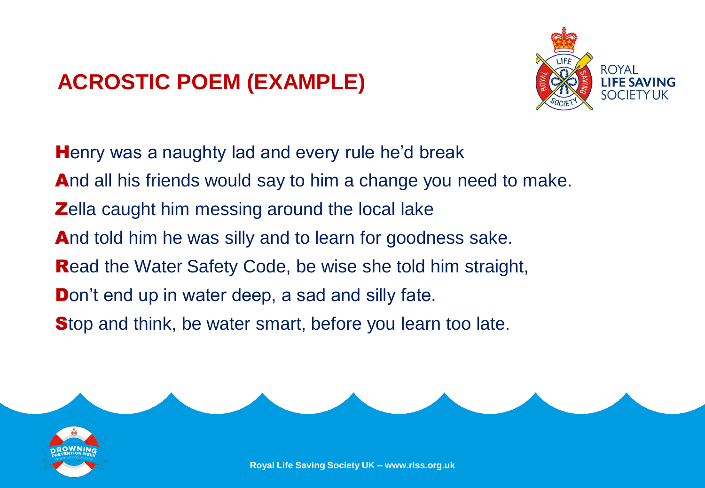# **ACROSTIC POEM (EXAMPLE)**

![](_page_12_Picture_1.jpeg)

Henry was a naughty lad and every rule he'd break And all his friends would say to him a change you need to make. **Zella caught him messing around the local lake** And told him he was silly and to learn for goodness sake. Read the Water Safety Code, be wise she told him straight, Don't end up in water deep, a sad and silly fate. Stop and think, be water smart, before you learn too late.

![](_page_12_Picture_3.jpeg)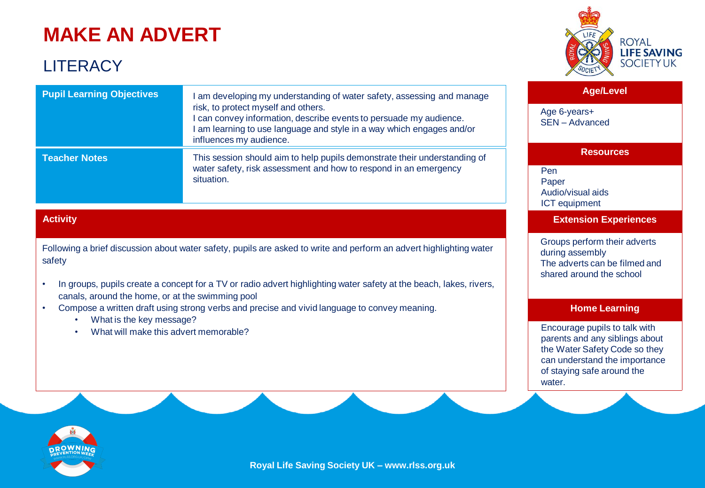# **MAKE AN ADVERT**

### **LITERACY**

**Teacher Notes**

**Pupil Learning Objectives**

![](_page_13_Picture_2.jpeg)

| <b>Age/Level</b> |  |
|------------------|--|
|------------------|--|

Age 6-years+ SEN – Advanced

#### **Resources**

Pen Paper Audio/visual aids ICT equipment

**Extension Experiences**

Groups perform their adverts during assembly The adverts can be filmed and shared around the school

#### **Home Learning**

Encourage pupils to talk with parents and any siblings about the Water Safety Code so they can understand the importance of staying safe around the water.

![](_page_13_Picture_11.jpeg)

I am developing my understanding of water safety, assessing and manage

This session should aim to help pupils demonstrate their understanding of water safety, risk assessment and how to respond in an emergency

I can convey information, describe events to persuade my audience. I am learning to use language and style in a way which engages and/or

### **Activity**

Following a brief discussion about water safety, pupils are asked to write and perform an advert highlighting water safety

risk, to protect myself and others.

influences my audience.

situation.

- In groups, pupils create a concept for a TV or radio advert highlighting water safety at the beach, lakes, rivers, canals, around the home, or at the swimming pool
- Compose a written draft using strong verbs and precise and vivid language to convey meaning.
	- What is the key message?
	- What will make this advert memorable?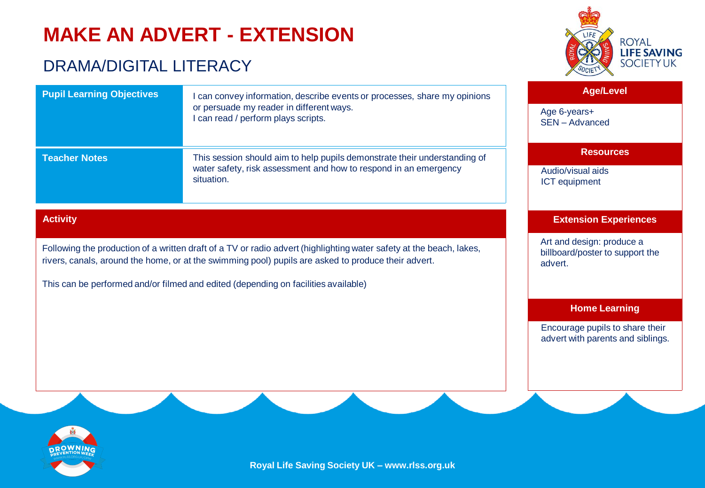# **MAKE AN ADVERT - EXTENSION**

### DRAMA/DIGITAL LITERACY

![](_page_14_Picture_2.jpeg)

| <b>Pupil Learning Objectives</b>                                                                                    | can convey information, describe events or processes, share my opinions         | Age/                                     |
|---------------------------------------------------------------------------------------------------------------------|---------------------------------------------------------------------------------|------------------------------------------|
|                                                                                                                     | or persuade my reader in different ways.<br>I can read / perform plays scripts. | Age 6-years+<br>SEN - Advance            |
| <b>Teacher Notes</b>                                                                                                | This session should aim to help pupils demonstrate their understanding of       | <b>Reso</b>                              |
|                                                                                                                     | water safety, risk assessment and how to respond in an emergency<br>situation.  | Audio/visual aid<br><b>ICT</b> equipment |
| <b>Activity</b>                                                                                                     |                                                                                 | <b>Extension E</b>                       |
| Following the production of a written draft of a TV or radio advert (highlighting water safety at the beach, lakes, |                                                                                 | Art and design:<br>hillhoard/poster      |

rivers, canals, around the home, or at the swimming pool) pupils are asked to produce their advert.

This can be performed and/or filmed and edited (depending on facilities available)

### Level

SEN – Advanced

#### **Resources**

Audio/visual aids

#### **Experiences**

produce a billboard/poster to support the advert.

### **Home Learning**

Encourage pupils to share their advert with parents and siblings.

![](_page_14_Picture_14.jpeg)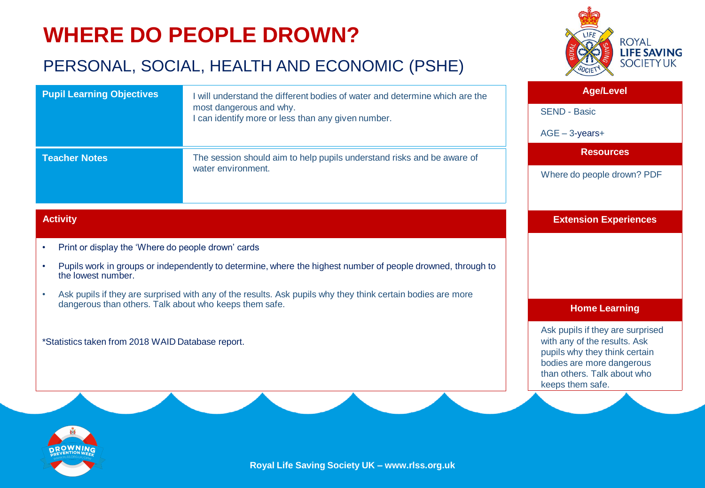# **WHERE DO PEOPLE DROWN?**

### PERSONAL, SOCIAL, HEALTH AND ECONOMIC (PSHE)

![](_page_15_Picture_2.jpeg)

| <b>Pupil Learning Objectives</b>                                                                                                                                          | I will understand the different bodies of water and determine which are the<br>most dangerous and why.<br>I can identify more or less than any given number.                                                               | <b>Age/Level</b><br><b>SEND - Basic</b><br>$AGE - 3$ -years+                                                                                                                      |
|---------------------------------------------------------------------------------------------------------------------------------------------------------------------------|----------------------------------------------------------------------------------------------------------------------------------------------------------------------------------------------------------------------------|-----------------------------------------------------------------------------------------------------------------------------------------------------------------------------------|
| <b>Teacher Notes</b>                                                                                                                                                      | The session should aim to help pupils understand risks and be aware of<br>water environment.                                                                                                                               | <b>Resources</b><br>Where do people drown? PDF                                                                                                                                    |
| <b>Activity</b>                                                                                                                                                           |                                                                                                                                                                                                                            | <b>Extension Experiences</b>                                                                                                                                                      |
| Print or display the 'Where do people drown' cards<br>$\bullet$<br>$\bullet$<br>the lowest number.<br>$\bullet$<br>dangerous than others. Talk about who keeps them safe. | Pupils work in groups or independently to determine, where the highest number of people drowned, through to<br>Ask pupils if they are surprised with any of the results. Ask pupils why they think certain bodies are more | <b>Home Learning</b>                                                                                                                                                              |
| *Statistics taken from 2018 WAID Database report.                                                                                                                         |                                                                                                                                                                                                                            | Ask pupils if they are surprised<br>with any of the results. Ask<br>pupils why they think certain<br>bodies are more dangerous<br>than others. Talk about who<br>keeps them safe. |

![](_page_15_Picture_4.jpeg)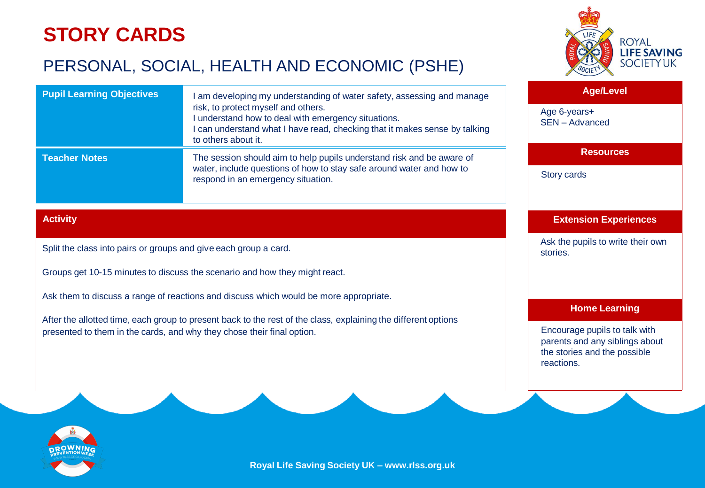## **STORY CARDS**

### PERSONAL, SOCIAL, HEALTH AND ECONOMIC (PSHE)

![](_page_16_Picture_2.jpeg)

| <b>Pupil Learning Objectives</b> | am developing my understanding of water safety, assessing and manage<br>risk, to protect myself and others.<br>understand how to deal with emergency situations.<br>can understand what I have read, checking that it makes sense by talking<br>to others about it. |
|----------------------------------|---------------------------------------------------------------------------------------------------------------------------------------------------------------------------------------------------------------------------------------------------------------------|
| <b>Teacher Notes</b>             | The session should aim to help pupils understand risk and be aware of<br>water, include questions of how to stay safe around water and how to<br>respond in an emergency situation.                                                                                 |

### **Activity**

Split the class into pairs or groups and give each group a card.

Groups get 10-15 minutes to discuss the scenario and how they might react.

Ask them to discuss a range of reactions and discuss which would be more appropriate.

After the allotted time, each group to present back to the rest of the class, explaining the different options presented to them in the cards, and why they chose their final option.

### **Age/Level**

Age 6-years+ SEN – Advanced

### **Resources**

Story cards

### **Extension Experiences**

Ask the pupils to write their own stories.

#### **Home Learning**

Encourage pupils to talk with parents and any siblings about the stories and the possible reactions.

![](_page_16_Picture_17.jpeg)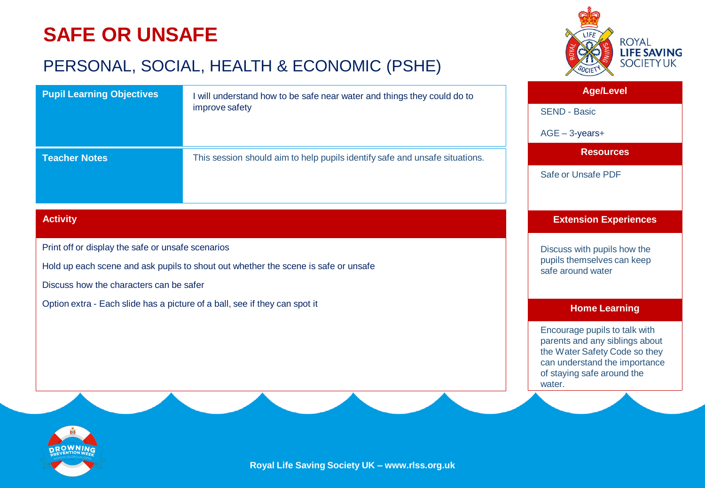# **SAFE OR UNSAFE**

### PERSONAL, SOCIAL, HEALTH & ECONOMIC (PSHE)

![](_page_17_Picture_2.jpeg)

| <b>Pupil Learning Objectives</b>                                                             | I will understand how to be safe near water and things they could do to            | <b>Age/Level</b>                                                                                                                                                          |
|----------------------------------------------------------------------------------------------|------------------------------------------------------------------------------------|---------------------------------------------------------------------------------------------------------------------------------------------------------------------------|
|                                                                                              | improve safety                                                                     | <b>SEND - Basic</b>                                                                                                                                                       |
|                                                                                              |                                                                                    | $AGE - 3$ -years+                                                                                                                                                         |
| <b>Teacher Notes</b>                                                                         | This session should aim to help pupils identify safe and unsafe situations.        | <b>Resources</b>                                                                                                                                                          |
|                                                                                              |                                                                                    | Safe or Unsafe PDF                                                                                                                                                        |
|                                                                                              |                                                                                    |                                                                                                                                                                           |
| <b>Activity</b>                                                                              |                                                                                    | <b>Extension Experiences</b>                                                                                                                                              |
| Print off or display the safe or unsafe scenarios<br>Discuss how the characters can be safer | Hold up each scene and ask pupils to shout out whether the scene is safe or unsafe | Discuss with pupils how the<br>pupils themselves can keep<br>safe around water                                                                                            |
| Option extra - Each slide has a picture of a ball, see if they can spot it                   |                                                                                    | <b>Home Learning</b>                                                                                                                                                      |
|                                                                                              |                                                                                    | Encourage pupils to talk with<br>parents and any siblings about<br>the Water Safety Code so they<br>can understand the importance<br>of staying safe around the<br>water. |

![](_page_17_Picture_4.jpeg)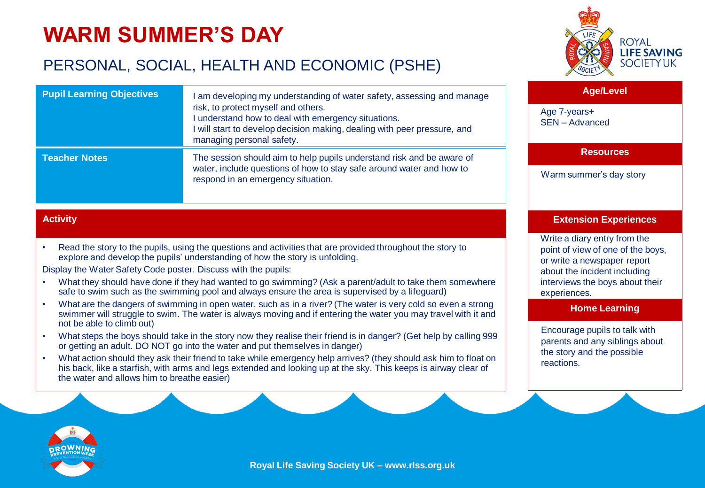# **WARM SUMMER'S DAY**

**Pupil Learning Objectives**

### PERSONAL, SOCIAL, HEALTH AND ECONOMIC (PSHE)

![](_page_18_Picture_2.jpeg)

#### **Age/Level**

Age 7-years+ SEN – Advanced

**Resources**

Warm summer's day story

### **Extension Experiences**

Write a diary entry from the point of view of one of the boys, or write a newspaper report about the incident including interviews the boys about their experiences.

#### **Home Learning**

Encourage pupils to talk with parents and any siblings about the story and the possible reactions.

|                      | risk, to protect myself and others.<br>I understand how to deal with emergency situations.<br>I will start to develop decision making, dealing with peer pressure, and<br>managing personal safety. |  |
|----------------------|-----------------------------------------------------------------------------------------------------------------------------------------------------------------------------------------------------|--|
| <b>Teacher Notes</b> | The session should aim to help pupils understand risk and be aware of<br>water, include questions of how to stay safe around water and how to<br>respond in an emergency situation.                 |  |
| <b>Activity</b>      |                                                                                                                                                                                                     |  |

I am developing my understanding of water safety, assessing and manage

• Read the story to the pupils, using the questions and activities that are provided throughout the story to explore and develop the pupils' understanding of how the story is unfolding.

Display the Water Safety Code poster. Discuss with the pupils:

- What they should have done if they had wanted to go swimming? (Ask a parent/adult to take them somewhere safe to swim such as the swimming pool and always ensure the area is supervised by a lifeguard)
- What are the dangers of swimming in open water, such as in a river? (The water is very cold so even a strong swimmer will struggle to swim. The water is always moving and if entering the water you may travel with it and not be able to climb out)
- What steps the boys should take in the story now they realise their friend is in danger? (Get help by calling 999 or getting an adult. DO NOT go into the water and put themselves in danger)
- What action should they ask their friend to take while emergency help arrives? (they should ask him to float on his back, like a starfish, with arms and legs extended and looking up at the sky. This keeps is airway clear of the water and allows him to breathe easier)

![](_page_18_Picture_18.jpeg)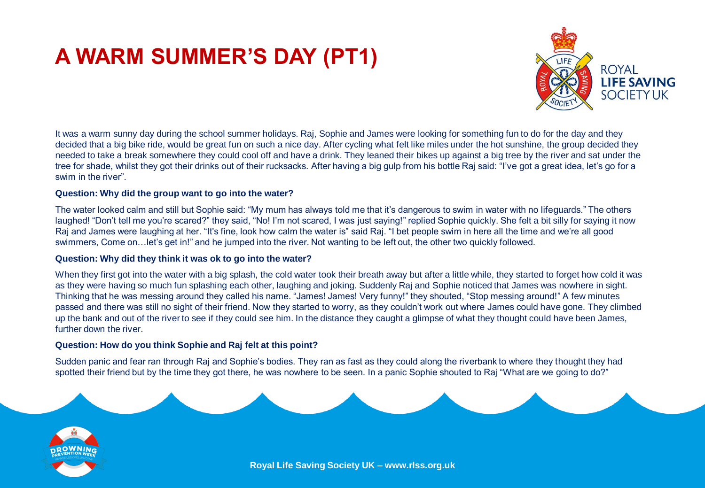# **A WARM SUMMER'S DAY (PT1)**

![](_page_19_Picture_1.jpeg)

It was a warm sunny day during the school summer holidays. Raj, Sophie and James were looking for something fun to do for the day and they decided that a big bike ride, would be great fun on such a nice day. After cycling what felt like miles under the hot sunshine, the group decided they needed to take a break somewhere they could cool off and have a drink. They leaned their bikes up against a big tree by the river and sat under the tree for shade, whilst they got their drinks out of their rucksacks. After having a big gulp from his bottle Raj said: "I've got a great idea, let's go for a swim in the river".

#### **Question: Why did the group want to go into the water?**

The water looked calm and still but Sophie said: "My mum has always told me that it's dangerous to swim in water with no lifeguards." The others laughed! "Don't tell me you're scared?" they said, "No! I'm not scared, I was just saying!" replied Sophie quickly. She felt a bit silly for saying it now Raj and James were laughing at her. "It's fine, look how calm the water is" said Raj. "I bet people swim in here all the time and we're all good swimmers, Come on…let's get in!" and he jumped into the river. Not wanting to be left out, the other two quickly followed.

#### **Question: Why did they think it was ok to go into the water?**

When they first got into the water with a big splash, the cold water took their breath away but after a little while, they started to forget how cold it was as they were having so much fun splashing each other, laughing and joking. Suddenly Raj and Sophie noticed that James was nowhere in sight. Thinking that he was messing around they called his name. "James! James! Very funny!" they shouted, "Stop messing around!" A few minutes passed and there was still no sight of their friend. Now they started to worry, as they couldn't work out where James could have gone. They climbed up the bank and out of the river to see if they could see him. In the distance they caught a glimpse of what they thought could have been James, further down the river.

#### **Question: How do you think Sophie and Raj felt at this point?**

Sudden panic and fear ran through Raj and Sophie's bodies. They ran as fast as they could along the riverbank to where they thought they had spotted their friend but by the time they got there, he was nowhere to be seen. In a panic Sophie shouted to Raj "What are we going to do?"

![](_page_19_Picture_9.jpeg)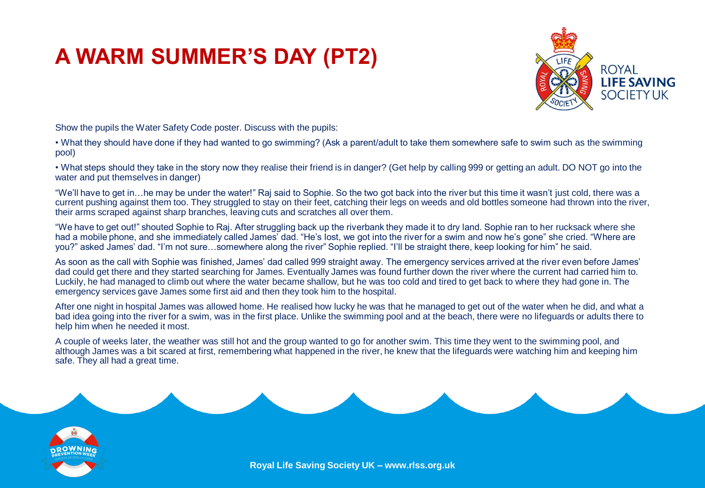# **A WARM SUMMER'S DAY (PT2)**

![](_page_20_Picture_1.jpeg)

Show the pupils the Water Safety Code poster. Discuss with the pupils:

• What they should have done if they had wanted to go swimming? (Ask a parent/adult to take them somewhere safe to swim such as the swimming pool)

• What steps should they take in the story now they realise their friend is in danger? (Get help by calling 999 or getting an adult. DO NOT go into the water and put themselves in danger)

"We'll have to get in…he may be under the water!" Raj said to Sophie. So the two got back into the river but this time it wasn't just cold, there was a current pushing against them too. They struggled to stay on their feet, catching their legs on weeds and old bottles someone had thrown into the river, their arms scraped against sharp branches, leaving cuts and scratches all over them.

"We have to get out!" shouted Sophie to Raj. After struggling back up the riverbank they made it to dry land. Sophie ran to her rucksack where she had a mobile phone, and she immediately called James' dad. "He's lost, we got into the river for a swim and now he's gone" she cried. "Where are you?" asked James' dad. "I'm not sure…somewhere along the river" Sophie replied. "I'll be straight there, keep looking for him" he said.

As soon as the call with Sophie was finished, James' dad called 999 straight away. The emergency services arrived at the river even before James' dad could get there and they started searching for James. Eventually James was found further down the river where the current had carried him to. Luckily, he had managed to climb out where the water became shallow, but he was too cold and tired to get back to where they had gone in. The emergency services gave James some first aid and then they took him to the hospital.

After one night in hospital James was allowed home. He realised how lucky he was that he managed to get out of the water when he did, and what a bad idea going into the river for a swim, was in the first place. Unlike the swimming pool and at the beach, there were no lifeguards or adults there to help him when he needed it most.

A couple of weeks later, the weather was still hot and the group wanted to go for another swim. This time they went to the swimming pool, and although James was a bit scared at first, remembering what happened in the river, he knew that the lifeguards were watching him and keeping him safe. They all had a great time.

![](_page_20_Picture_10.jpeg)

![](_page_20_Picture_11.jpeg)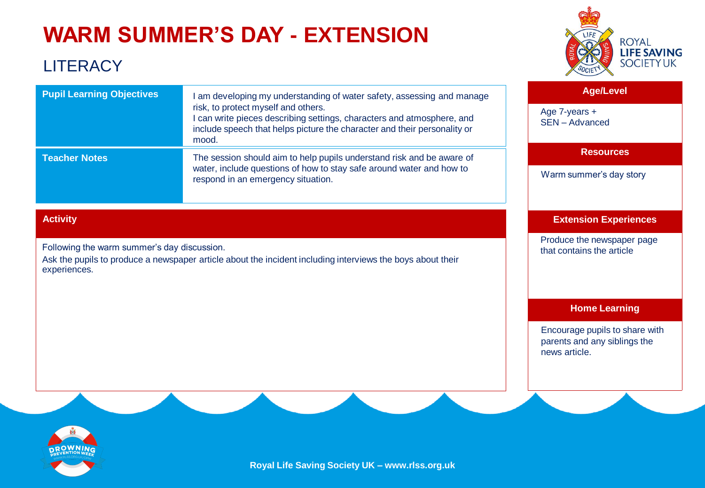# **WARM SUMMER'S DAY - EXTENSION**

### **LITERACY**

![](_page_21_Picture_2.jpeg)

| <b>Pupil Learning Objectives</b> | I am developing my understanding of water safety, assessing and manage<br>risk, to protect myself and others.<br>I can write pieces describing settings, characters and atmosphere, and<br>include speech that helps picture the character and their personality or<br>mood. |
|----------------------------------|------------------------------------------------------------------------------------------------------------------------------------------------------------------------------------------------------------------------------------------------------------------------------|
| <b>Teacher Notes</b>             | The session should aim to help pupils understand risk and be aware of<br>water, include questions of how to stay safe around water and how to<br>respond in an emergency situation.                                                                                          |

### **Activity**

Following the warm summer's day discussion.

Ask the pupils to produce a newspaper article about the incident including interviews the boys about their experiences.

### **Age/Level**

Age 7-years + SEN – Advanced

### **Resources**

Warm summer's day story

### **Extension Experiences**

Produce the newspaper page that contains the article

### **Home Learning**

Encourage pupils to share with parents and any siblings the news article.

![](_page_21_Picture_15.jpeg)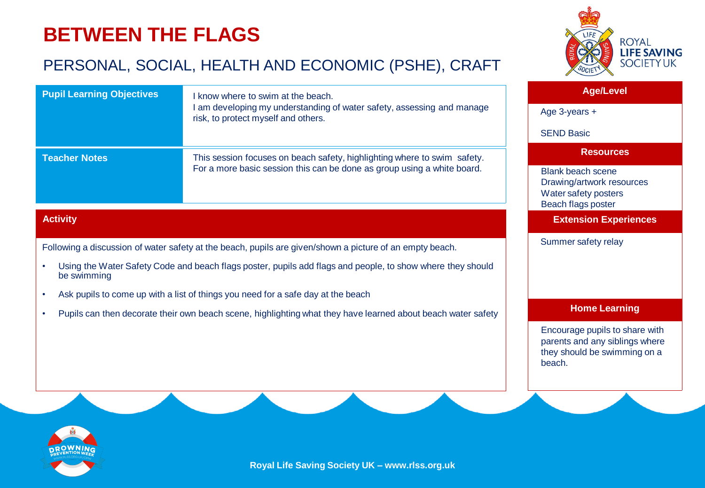## **BETWEEN THE FLAGS**

### PERSONAL, SOCIAL, HEALTH AND ECONOMIC (PSHE), CRAFT

![](_page_22_Picture_2.jpeg)

### **Activity**

Following a discussion of water safety at the beach, pupils are given/shown a picture of an empty beach.

- Using the Water Safety Code and beach flags poster, pupils add flags and people, to show where they should be swimming
- Ask pupils to come up with a list of things you need for a safe day at the beach
- Pupils can then decorate their own beach scene, highlighting what they have learned about beach water safety

![](_page_22_Picture_8.jpeg)

### **Age/Level**

#### **Resources**

Blank beach scene Drawing/artwork resources Water safety posters Beach flags poster

**Extension Experiences**

Summer safety relay

### **Home Learning**

Encourage pupils to share with parents and any siblings where they should be swimming on a beach.

![](_page_22_Picture_16.jpeg)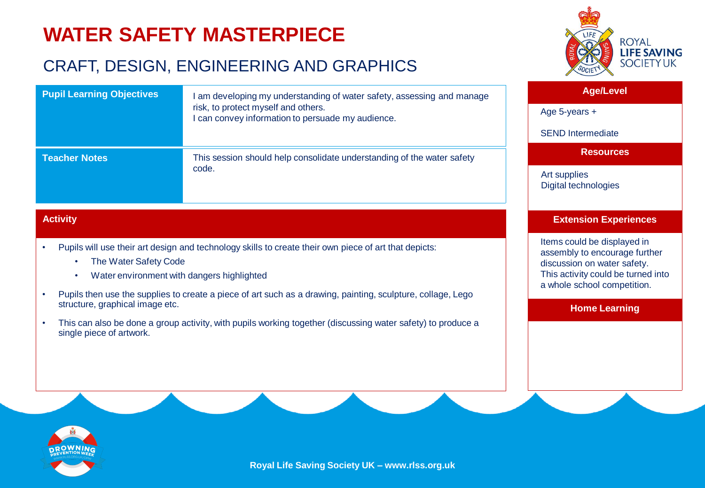# **WATER SAFETY MASTERPIECE**

### CRAFT, DESIGN, ENGINEERING AND GRAPHICS

![](_page_23_Picture_2.jpeg)

| <b>Pupil Learning Objectives</b> | am developing my understanding of water safety, assessing and manage<br>risk, to protect myself and others.<br>I can convey information to persuade my audience. | <b>Age/Level</b>                     |
|----------------------------------|------------------------------------------------------------------------------------------------------------------------------------------------------------------|--------------------------------------|
|                                  |                                                                                                                                                                  | Age 5-years $+$                      |
|                                  |                                                                                                                                                                  | <b>SEND Intermediate</b>             |
| <b>Teacher Notes</b>             | This session should help consolidate understanding of the water safety                                                                                           | <b>Resources</b>                     |
|                                  | code.                                                                                                                                                            | Art supplies<br>Digital technologies |

### **Activity**

- Pupils will use their art design and technology skills to create their own piece of art that depicts:
	- The Water Safety Code
	- Water environment with dangers highlighted
- Pupils then use the supplies to create a piece of art such as a drawing, painting, sculpture, collage, Lego structure, graphical image etc.
- This can also be done a group activity, with pupils working together (discussing water safety) to produce a single piece of artwork.

#### **Extension Experiences**

Items could be displayed in assembly to encourage further discussion on water safety. This activity could be turned into a whole school competition.

**Home Learning**

![](_page_23_Picture_13.jpeg)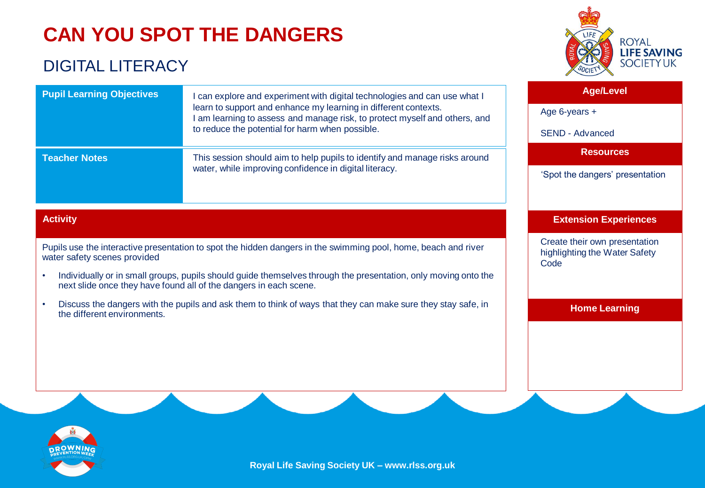# **CAN YOU SPOT THE DANGERS**

### DIGITAL LITERACY

![](_page_24_Picture_2.jpeg)

| <b>Pupil Learning Objectives</b> | I can explore and experiment with digital technologies and can use what I<br>learn to support and enhance my learning in different contexts.<br>I am learning to assess and manage risk, to protect myself and others, and<br>to reduce the potential for harm when possible. | <b>Age/Level</b>                |
|----------------------------------|-------------------------------------------------------------------------------------------------------------------------------------------------------------------------------------------------------------------------------------------------------------------------------|---------------------------------|
|                                  |                                                                                                                                                                                                                                                                               | Age 6-years $+$                 |
|                                  |                                                                                                                                                                                                                                                                               | SEND - Advanced                 |
| <b>Teacher Notes</b>             | This session should aim to help pupils to identify and manage risks around<br>water, while improving confidence in digital literacy.                                                                                                                                          | <b>Resources</b>                |
|                                  |                                                                                                                                                                                                                                                                               | 'Spot the dangers' presentation |
|                                  |                                                                                                                                                                                                                                                                               |                                 |

### **Activity**

Pupils use the interactive presentation to spot the hidden dangers in the swimming pool, home, beach and river water safety scenes provided

- Individually or in small groups, pupils should guide themselves through the presentation, only moving onto the next slide once they have found all of the dangers in each scene.
- Discuss the dangers with the pupils and ask them to think of ways that they can make sure they stay safe, in the different environments.

### **Extension Experiences**

Create their own presentation highlighting the Water Safety Code

**Home Learning**

![](_page_24_Picture_11.jpeg)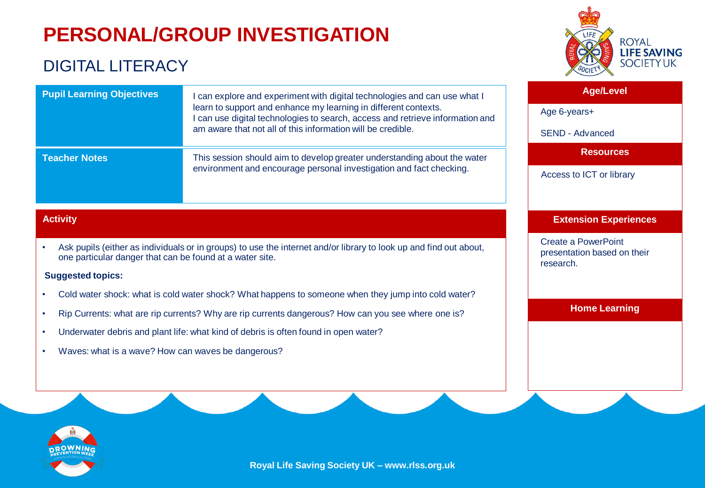# **PERSONAL/GROUP INVESTIGATION**

### DIGITAL LITERACY

![](_page_25_Picture_2.jpeg)

| <b>Pupil Learning Objectives</b> | can explore and experiment with digital technologies and can use what I<br>learn to support and enhance my learning in different contexts.<br>I can use digital technologies to search, access and retrieve information and<br>am aware that not all of this information will be credible. | <b>Age/Level</b><br>Age 6-years+ |
|----------------------------------|--------------------------------------------------------------------------------------------------------------------------------------------------------------------------------------------------------------------------------------------------------------------------------------------|----------------------------------|
|                                  |                                                                                                                                                                                                                                                                                            | <b>SEND - Advanced</b>           |
| <b>Teacher Notes</b>             | This session should aim to develop greater understanding about the water<br>environment and encourage personal investigation and fact checking.                                                                                                                                            | <b>Resources</b>                 |
|                                  |                                                                                                                                                                                                                                                                                            | Access to ICT or library         |
|                                  |                                                                                                                                                                                                                                                                                            |                                  |

### **Activity**

• Ask pupils (either as individuals or in groups) to use the internet and/or library to look up and find out about, one particular danger that can be found at a water site.

#### **Suggested topics:**

- Cold water shock: what is cold water shock? What happens to someone when they jump into cold water?
- Rip Currents: what are rip currents? Why are rip currents dangerous? How can you see where one is?
- Underwater debris and plant life: what kind of debris is often found in open water?
- Waves: what is a wave? How can waves be dangerous?

![](_page_25_Picture_11.jpeg)

Create a PowerPoint presentation based on their research.

**Home Learning**

![](_page_25_Picture_14.jpeg)